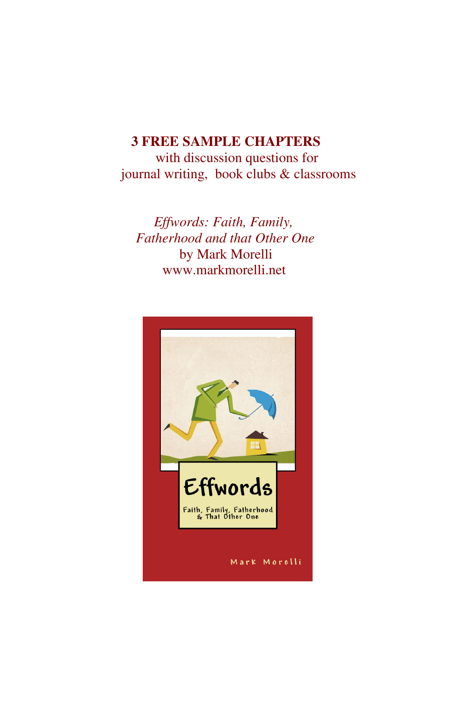#### **3 FREE SAMPLE CHAPTERS**

with discussion questions for journal writing, book clubs & classrooms

*Effwords: Faith, Family, Fatherhood and that Other One* by Mark Morelli www.markmorelli.net

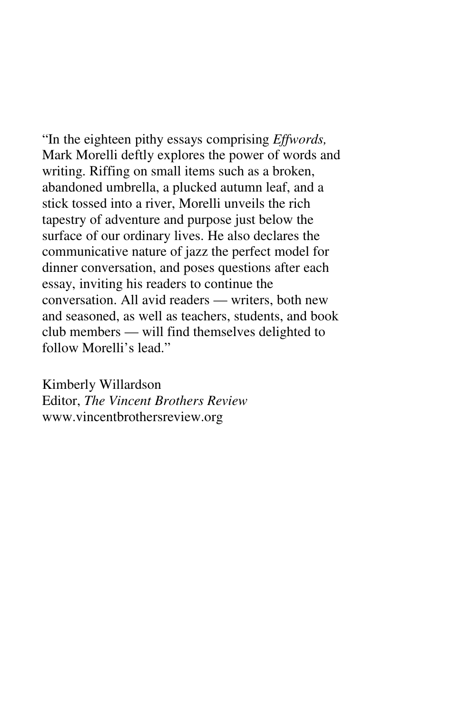"In the eighteen pithy essays comprising *Effwords,*  Mark Morelli deftly explores the power of words and writing. Riffing on small items such as a broken, abandoned umbrella, a plucked autumn leaf, and a stick tossed into a river, Morelli unveils the rich tapestry of adventure and purpose just below the surface of our ordinary lives. He also declares the communicative nature of jazz the perfect model for dinner conversation, and poses questions after each essay, inviting his readers to continue the conversation. All avid readers — writers, both new and seasoned, as well as teachers, students, and book club members — will find themselves delighted to follow Morelli's lead."

Kimberly Willardson Editor, *The Vincent Brothers Review* www.vincentbrothersreview.org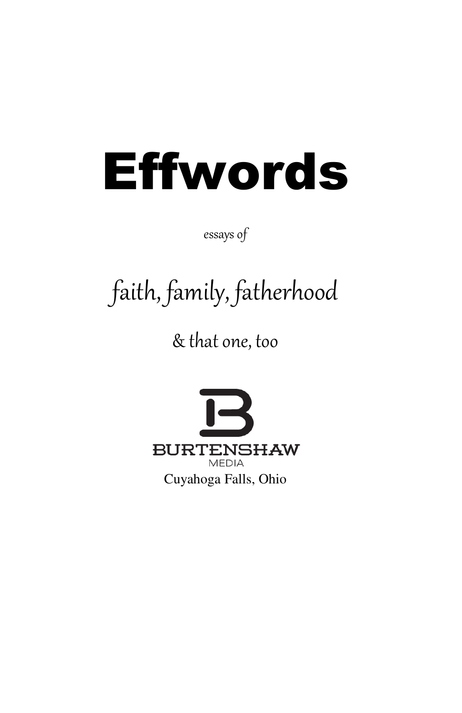# Effwords

essays of

## faith, family, fatherhood

& that one, too

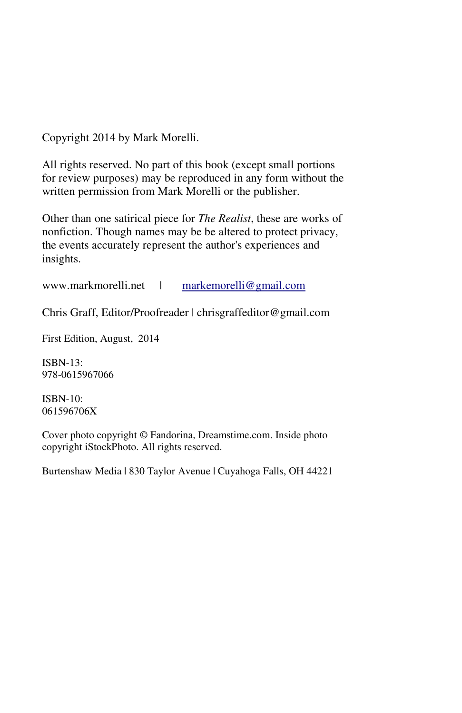Copyright 2014 by Mark Morelli.

All rights reserved. No part of this book (except small portions for review purposes) may be reproduced in any form without the written permission from Mark Morelli or the publisher.

Other than one satirical piece for *The Realist*, these are works of nonfiction. Though names may be be altered to protect privacy, the events accurately represent the author's experiences and insights.

www.markmorelli.net | markemorelli@gmail.com

Chris Graff, Editor/Proofreader | chrisgraffeditor@gmail.com

First Edition, August, 2014

ISBN-13: 978-0615967066

ISBN-10: 061596706X

Cover photo copyright © Fandorina, Dreamstime.com. Inside photo copyright iStockPhoto. All rights reserved.

Burtenshaw Media | 830 Taylor Avenue | Cuyahoga Falls, OH 44221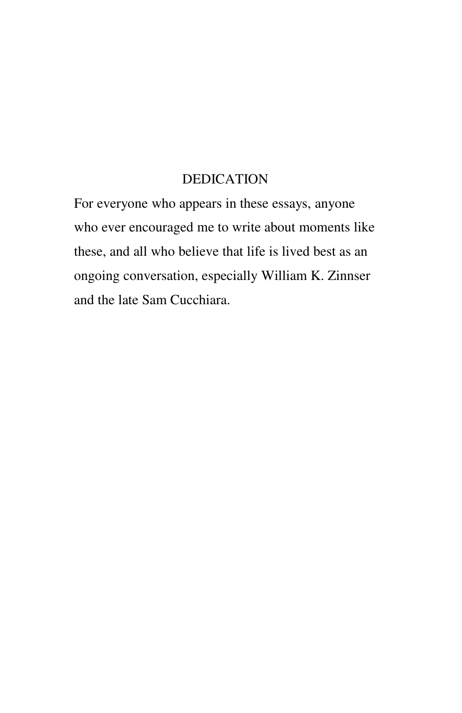#### DEDICATION

For everyone who appears in these essays, anyone who ever encouraged me to write about moments like these, and all who believe that life is lived best as an ongoing conversation, especially William K. Zinnser and the late Sam Cucchiara.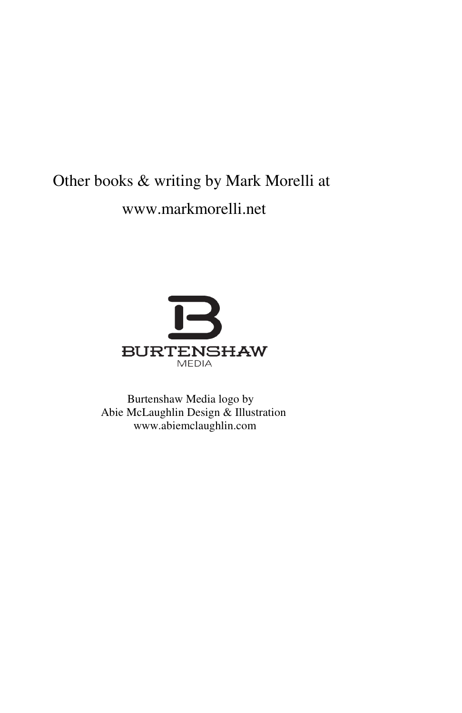#### Other books & writing by Mark Morelli at www.markmorelli.net



Burtenshaw Media logo by Abie McLaughlin Design & Illustration www.abiemclaughlin.com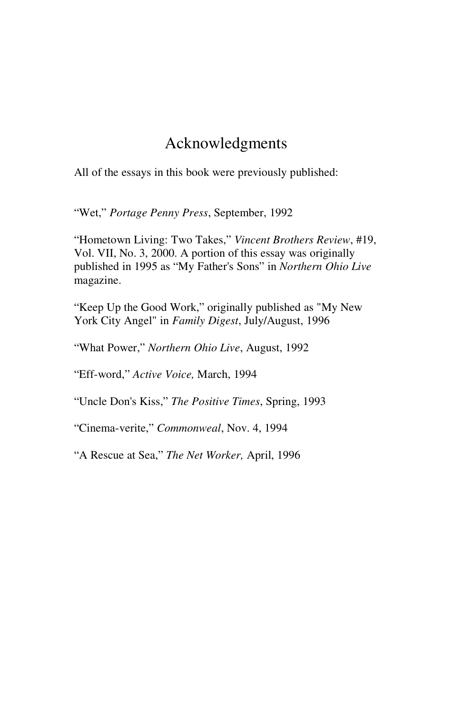#### Acknowledgments

All of the essays in this book were previously published:

"Wet," *Portage Penny Press*, September, 1992

"Hometown Living: Two Takes," *Vincent Brothers Review*, #19, Vol. VII, No. 3, 2000. A portion of this essay was originally published in 1995 as "My Father's Sons" in *Northern Ohio Live*  magazine.

"Keep Up the Good Work," originally published as "My New York City Angel" in *Family Digest*, July/August, 1996

"What Power," *Northern Ohio Live*, August, 1992

"Eff-word," *Active Voice,* March, 1994

"Uncle Don's Kiss," *The Positive Times*, Spring, 1993

"Cinema-verite," *Commonweal*, Nov. 4, 1994

"A Rescue at Sea," *The Net Worker,* April, 1996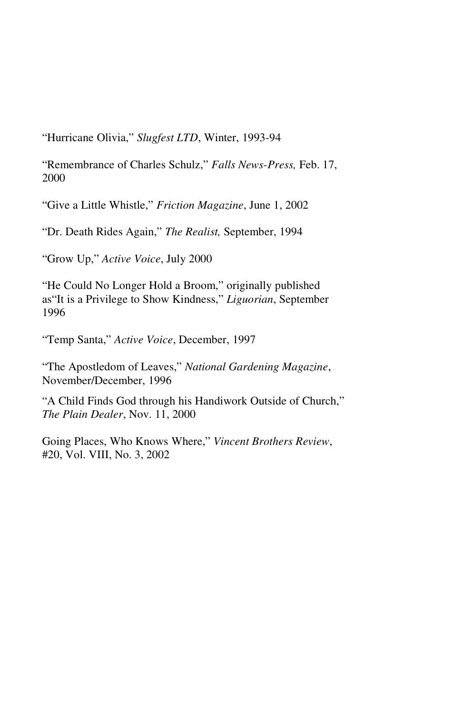"Hurricane Olivia," *Slugfest LTD*, Winter, 1993-94

"Remembrance of Charles Schulz," *Falls News-Press,* Feb. 17, 2000

"Give a Little Whistle," *Friction Magazine*, June 1, 2002

"Dr. Death Rides Again," *The Realist,* September, 1994

"Grow Up," *Active Voice*, July 2000

"He Could No Longer Hold a Broom," originally published as"It is a Privilege to Show Kindness," *Liguorian*, September 1996

"Temp Santa," *Active Voice*, December, 1997

"The Apostledom of Leaves," *National Gardening Magazine*, November/December, 1996

"A Child Finds God through his Handiwork Outside of Church," *The Plain Dealer*, Nov. 11, 2000

Going Places, Who Knows Where," *Vincent Brothers Review*, #20, Vol. VIII, No. 3, 2002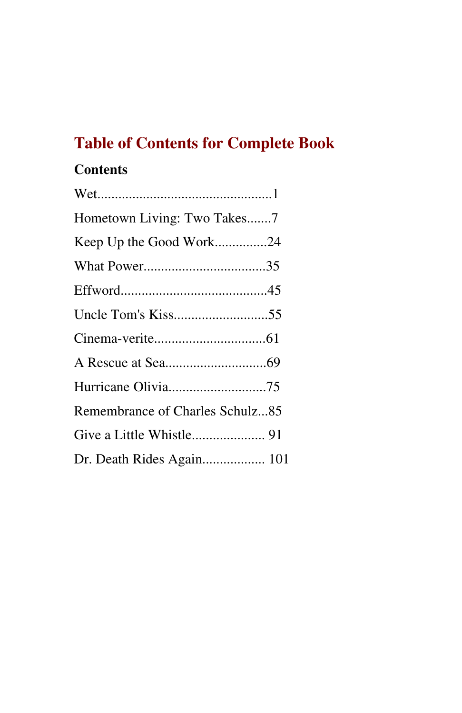#### **Table of Contents for Complete Book**

#### **Contents**

| Hometown Living: Two Takes7     |  |
|---------------------------------|--|
|                                 |  |
|                                 |  |
|                                 |  |
|                                 |  |
|                                 |  |
|                                 |  |
|                                 |  |
| Remembrance of Charles Schulz85 |  |
|                                 |  |
|                                 |  |
|                                 |  |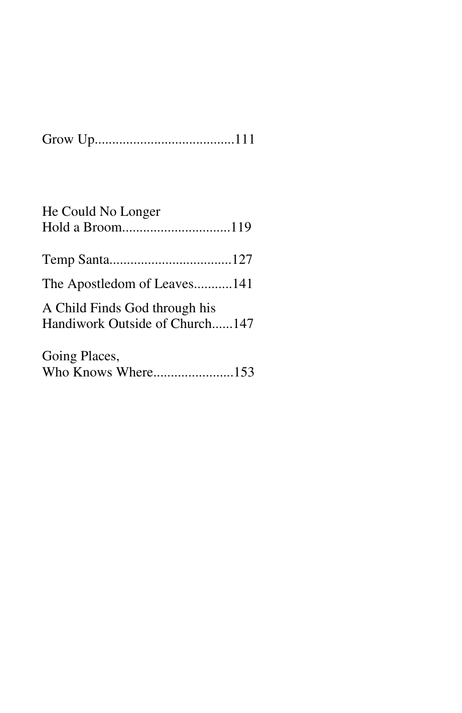| He Could No Longer                                              |  |
|-----------------------------------------------------------------|--|
|                                                                 |  |
| The Apostledom of Leaves141                                     |  |
| A Child Finds God through his<br>Handiwork Outside of Church147 |  |
| Going Places,                                                   |  |

Who Knows Where.......................153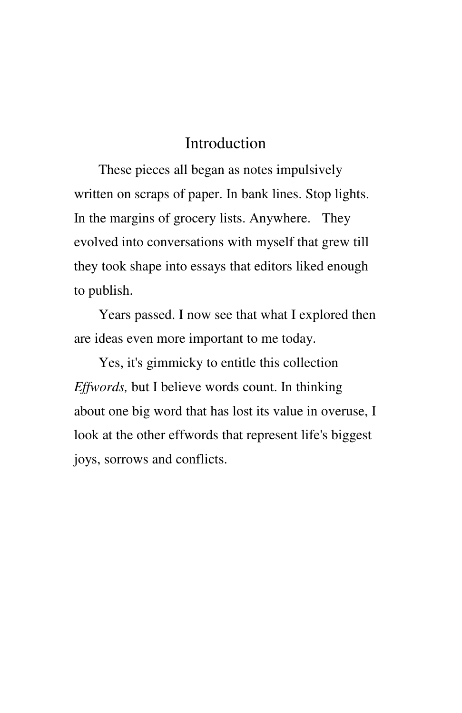#### Introduction

These pieces all began as notes impulsively written on scraps of paper. In bank lines. Stop lights. In the margins of grocery lists. Anywhere. They evolved into conversations with myself that grew till they took shape into essays that editors liked enough to publish.

Years passed. I now see that what I explored then are ideas even more important to me today.

Yes, it's gimmicky to entitle this collection *Effwords,* but I believe words count. In thinking about one big word that has lost its value in overuse, I look at the other effwords that represent life's biggest joys, sorrows and conflicts.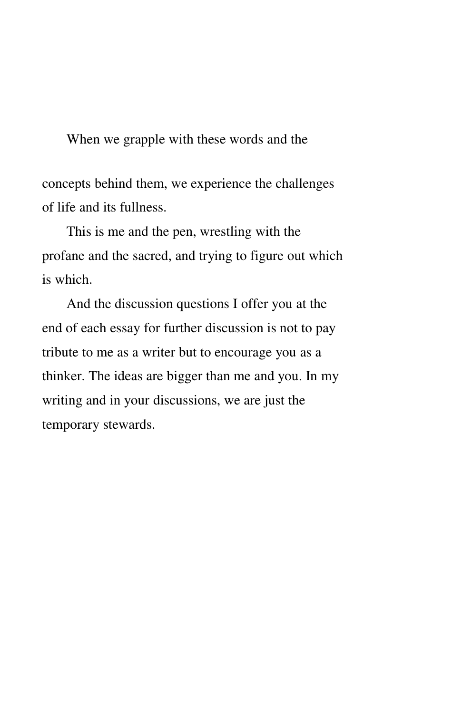When we grapple with these words and the

concepts behind them, we experience the challenges of life and its fullness.

This is me and the pen, wrestling with the profane and the sacred, and trying to figure out which is which.

And the discussion questions I offer you at the end of each essay for further discussion is not to pay tribute to me as a writer but to encourage you as a thinker. The ideas are bigger than me and you. In my writing and in your discussions, we are just the temporary stewards.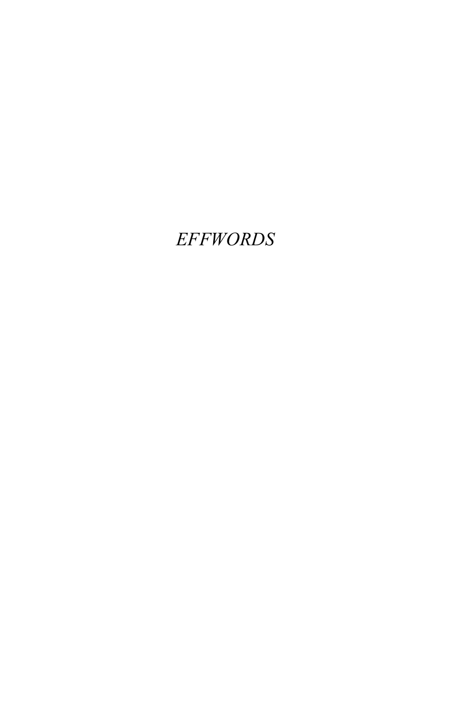#### EFFWORDS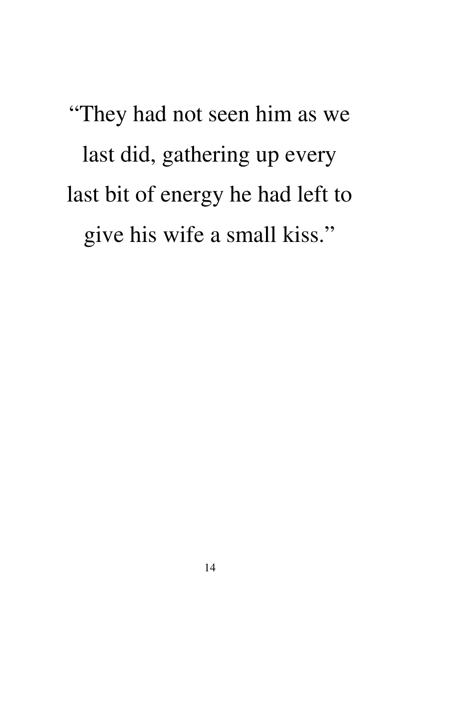"They had not seen him as we last did, gathering up every last bit of energy he had left to give his wife a small kiss."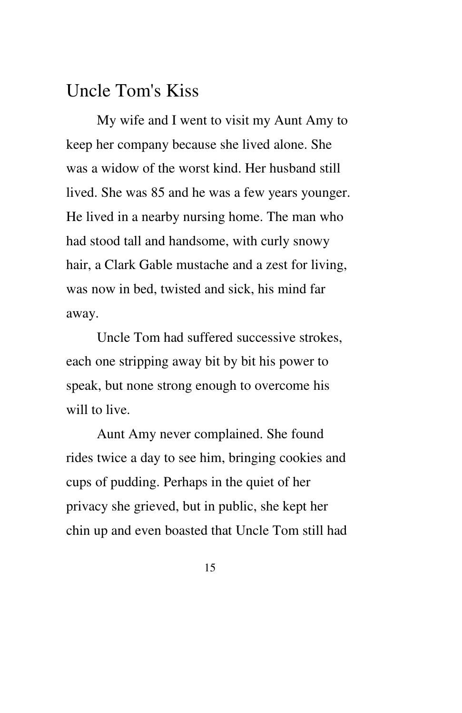#### Uncle Tom's Kiss

My wife and I went to visit my Aunt Amy to keep her company because she lived alone. She was a widow of the worst kind. Her husband still lived. She was 85 and he was a few years younger. He lived in a nearby nursing home. The man who had stood tall and handsome, with curly snowy hair, a Clark Gable mustache and a zest for living, was now in bed, twisted and sick, his mind far away.

Uncle Tom had suffered successive strokes, each one stripping away bit by bit his power to speak, but none strong enough to overcome his will to live.

Aunt Amy never complained. She found rides twice a day to see him, bringing cookies and cups of pudding. Perhaps in the quiet of her privacy she grieved, but in public, she kept her chin up and even boasted that Uncle Tom still had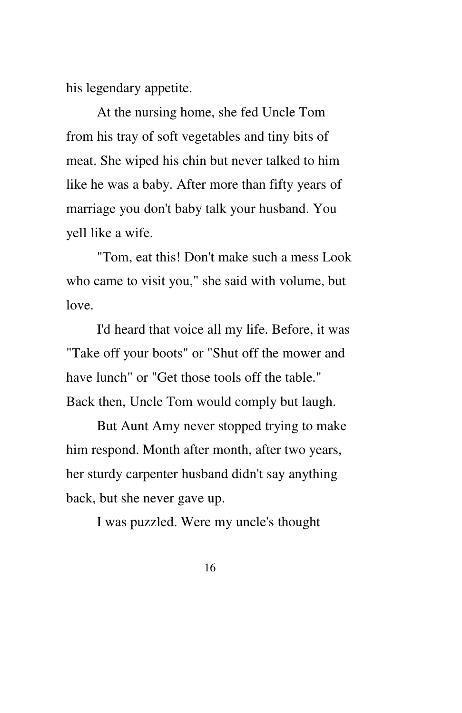his legendary appetite.

At the nursing home, she fed Uncle Tom from his tray of soft vegetables and tiny bits of meat. She wiped his chin but never talked to him like he was a baby. After more than fifty years of marriage you don't baby talk your husband. You yell like a wife.

"Tom, eat this! Don't make such a mess Look who came to visit you," she said with volume, but love.

I'd heard that voice all my life. Before, it was "Take off your boots" or "Shut off the mower and have lunch" or "Get those tools off the table." Back then, Uncle Tom would comply but laugh.

But Aunt Amy never stopped trying to make him respond. Month after month, after two years, her sturdy carpenter husband didn't say anything back, but she never gave up.

I was puzzled. Were my uncle's thought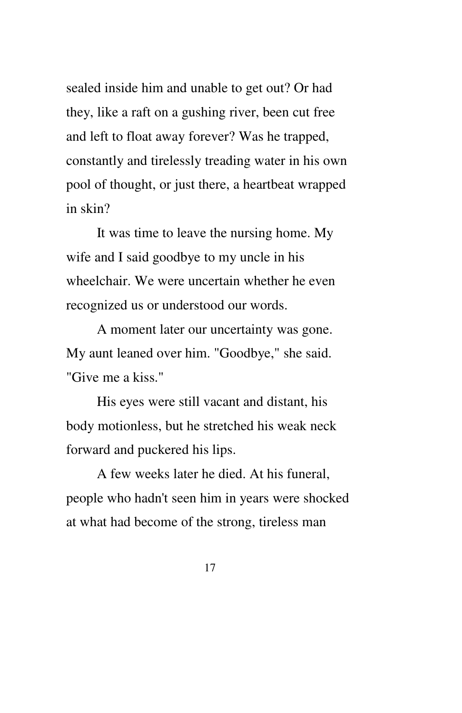sealed inside him and unable to get out? Or had they, like a raft on a gushing river, been cut free and left to float away forever? Was he trapped, constantly and tirelessly treading water in his own pool of thought, or just there, a heartbeat wrapped in skin?

It was time to leave the nursing home. My wife and I said goodbye to my uncle in his wheelchair. We were uncertain whether he even recognized us or understood our words.

A moment later our uncertainty was gone. My aunt leaned over him. "Goodbye," she said. "Give me a kiss."

His eyes were still vacant and distant, his body motionless, but he stretched his weak neck forward and puckered his lips.

A few weeks later he died. At his funeral, people who hadn't seen him in years were shocked at what had become of the strong, tireless man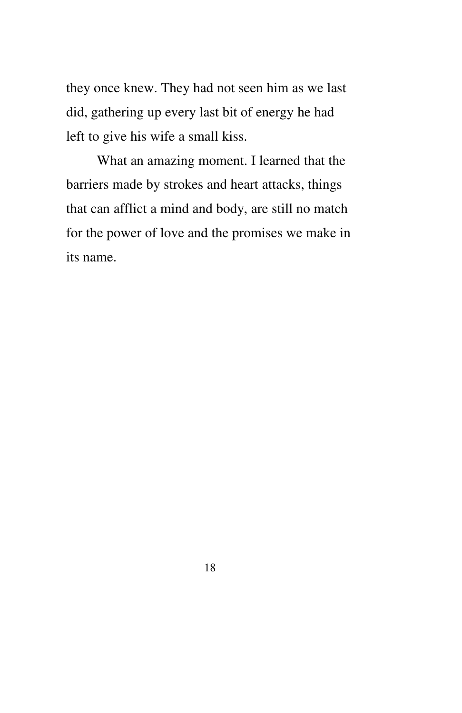they once knew. They had not seen him as we last did, gathering up every last bit of energy he had left to give his wife a small kiss.

What an amazing moment. I learned that the barriers made by strokes and heart attacks, things that can afflict a mind and body, are still no match for the power of love and the promises we make in its name.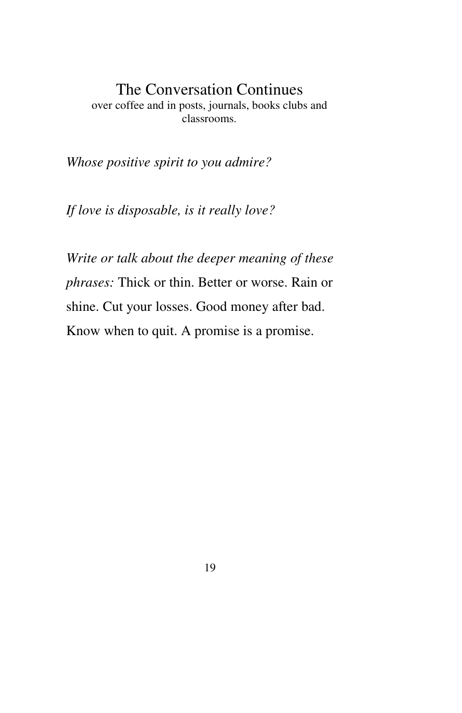#### The Conversation Continues over coffee and in posts, journals, books clubs and classrooms.

*Whose positive spirit to you admire?*

*If love is disposable, is it really love?*

*Write or talk about the deeper meaning of these phrases:* Thick or thin. Better or worse. Rain or shine. Cut your losses. Good money after bad. Know when to quit. A promise is a promise.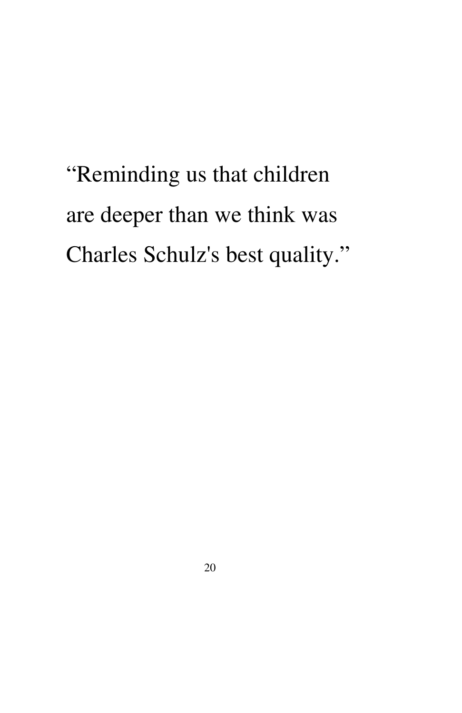"Reminding us that children are deeper than we think was Charles Schulz's best quality."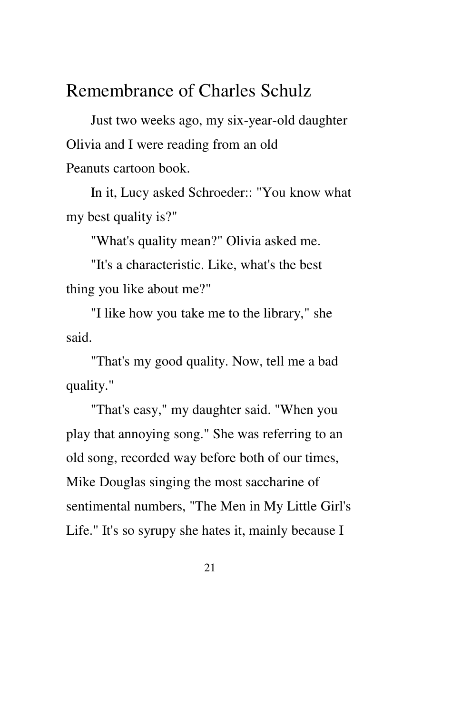#### Remembrance of Charles Schulz

Just two weeks ago, my six-year-old daughter Olivia and I were reading from an old Peanuts cartoon book.

In it, Lucy asked Schroeder:: "You know what my best quality is?"

"What's quality mean?" Olivia asked me.

"It's a characteristic. Like, what's the best thing you like about me?"

"I like how you take me to the library," she said.

"That's my good quality. Now, tell me a bad quality."

"That's easy," my daughter said. "When you play that annoying song." She was referring to an old song, recorded way before both of our times, Mike Douglas singing the most saccharine of sentimental numbers, "The Men in My Little Girl's Life." It's so syrupy she hates it, mainly because I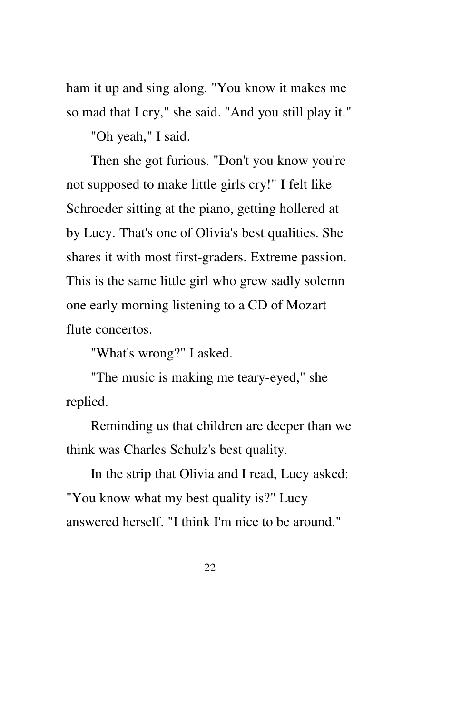ham it up and sing along. "You know it makes me so mad that I cry," she said. "And you still play it."

"Oh yeah," I said.

Then she got furious. "Don't you know you're not supposed to make little girls cry!" I felt like Schroeder sitting at the piano, getting hollered at by Lucy. That's one of Olivia's best qualities. She shares it with most first-graders. Extreme passion. This is the same little girl who grew sadly solemn one early morning listening to a CD of Mozart flute concertos.

"What's wrong?" I asked.

"The music is making me teary-eyed," she replied.

Reminding us that children are deeper than we think was Charles Schulz's best quality.

In the strip that Olivia and I read, Lucy asked: "You know what my best quality is?" Lucy answered herself. "I think I'm nice to be around."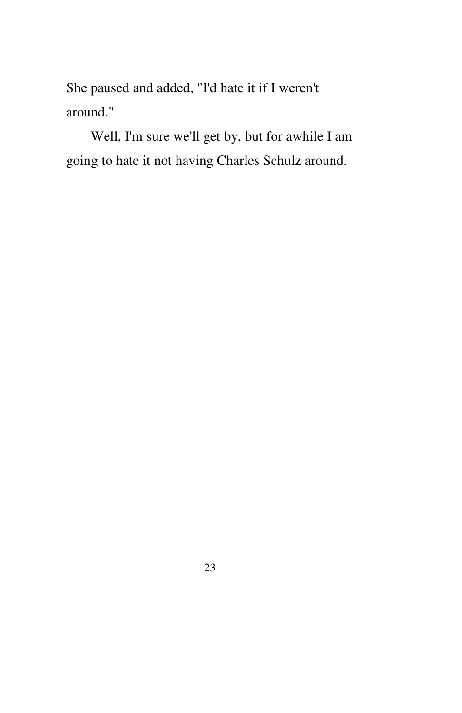She paused and added, "I'd hate it if I weren't around."

Well, I'm sure we'll get by, but for awhile I am going to hate it not having Charles Schulz around.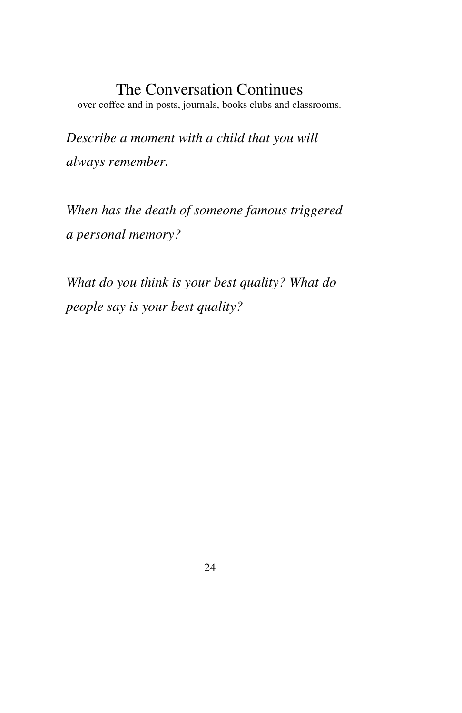#### The Conversation Continues

over coffee and in posts, journals, books clubs and classrooms.

*Describe a moment with a child that you will always remember.*

*When has the death of someone famous triggered a personal memory?*

*What do you think is your best quality? What do people say is your best quality?*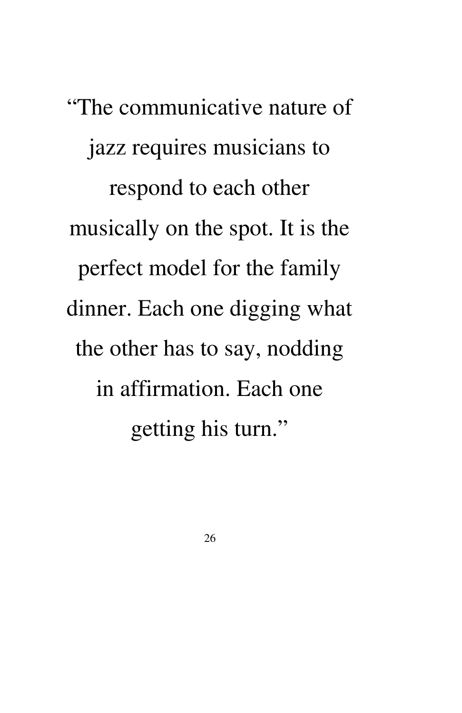"The communicative nature of jazz requires musicians to respond to each other musically on the spot. It is the perfect model for the family dinner. Each one digging what the other has to say, nodding in affirmation. Each one getting his turn."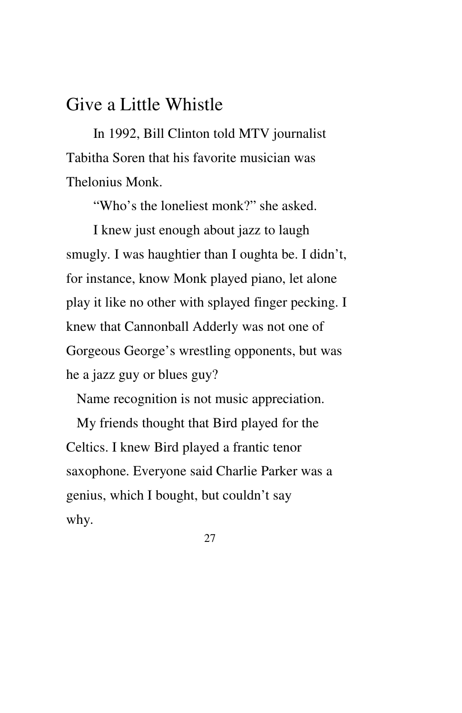#### Give a Little Whistle

In 1992, Bill Clinton told MTV journalist Tabitha Soren that his favorite musician was Thelonius Monk.

"Who's the loneliest monk?" she asked.

 I knew just enough about jazz to laugh smugly. I was haughtier than I oughta be. I didn't, for instance, know Monk played piano, let alone play it like no other with splayed finger pecking. I knew that Cannonball Adderly was not one of Gorgeous George's wrestling opponents, but was he a jazz guy or blues guy?

Name recognition is not music appreciation.

 My friends thought that Bird played for the Celtics. I knew Bird played a frantic tenor saxophone. Everyone said Charlie Parker was a genius, which I bought, but couldn't say why.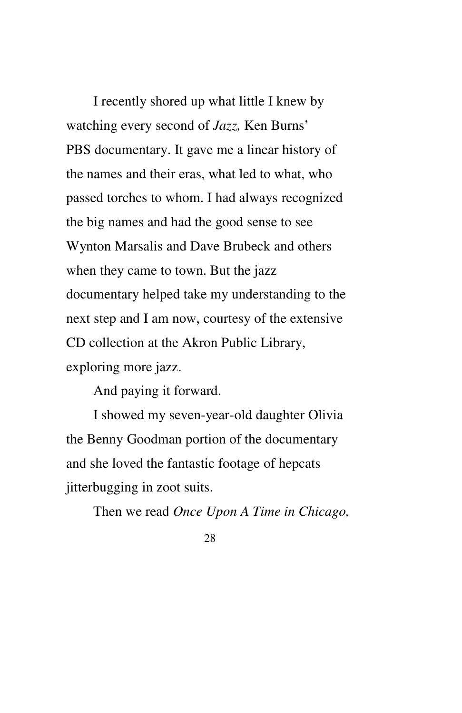I recently shored up what little I knew by watching every second of *Jazz,* Ken Burns' PBS documentary. It gave me a linear history of the names and their eras, what led to what, who passed torches to whom. I had always recognized the big names and had the good sense to see Wynton Marsalis and Dave Brubeck and others when they came to town. But the jazz documentary helped take my understanding to the next step and I am now, courtesy of the extensive CD collection at the Akron Public Library, exploring more jazz.

And paying it forward.

I showed my seven-year-old daughter Olivia the Benny Goodman portion of the documentary and she loved the fantastic footage of hepcats jitterbugging in zoot suits.

Then we read *Once Upon A Time in Chicago,*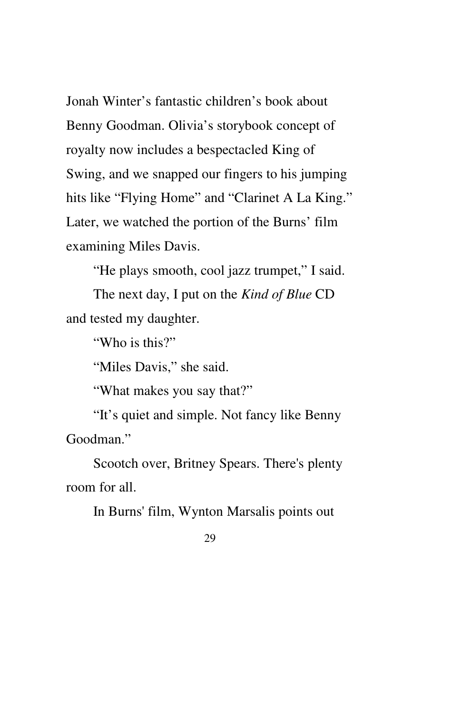Jonah Winter's fantastic children's book about Benny Goodman. Olivia's storybook concept of royalty now includes a bespectacled King of Swing, and we snapped our fingers to his jumping hits like "Flying Home" and "Clarinet A La King." Later, we watched the portion of the Burns' film examining Miles Davis.

"He plays smooth, cool jazz trumpet," I said.

The next day, I put on the *Kind of Blue* CD and tested my daughter.

"Who is this?"

"Miles Davis," she said.

"What makes you say that?"

"It's quiet and simple. Not fancy like Benny Goodman."

Scootch over, Britney Spears. There's plenty room for all.

In Burns' film, Wynton Marsalis points out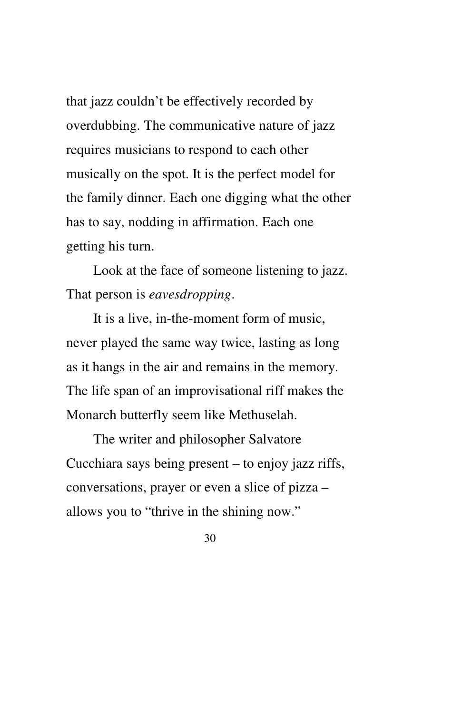that jazz couldn't be effectively recorded by overdubbing. The communicative nature of jazz requires musicians to respond to each other musically on the spot. It is the perfect model for the family dinner. Each one digging what the other has to say, nodding in affirmation. Each one getting his turn.

Look at the face of someone listening to jazz. That person is *eavesdropping*.

It is a live, in-the-moment form of music, never played the same way twice, lasting as long as it hangs in the air and remains in the memory. The life span of an improvisational riff makes the Monarch butterfly seem like Methuselah.

The writer and philosopher Salvatore Cucchiara says being present – to enjoy jazz riffs, conversations, prayer or even a slice of pizza – allows you to "thrive in the shining now."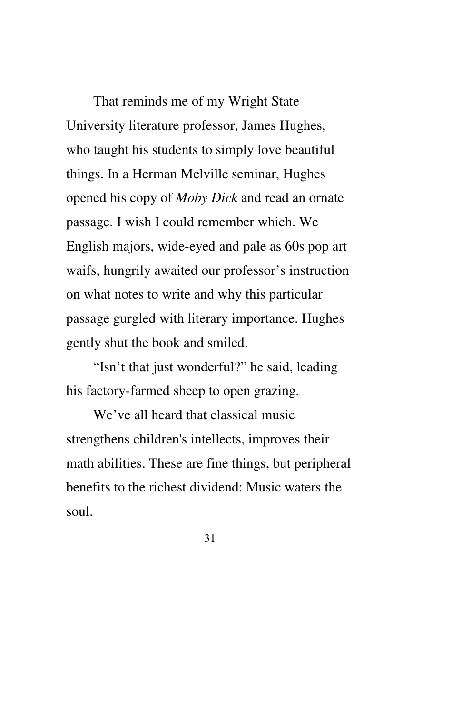That reminds me of my Wright State University literature professor, James Hughes, who taught his students to simply love beautiful things. In a Herman Melville seminar, Hughes opened his copy of *Moby Dick* and read an ornate passage. I wish I could remember which. We English majors, wide-eyed and pale as 60s pop art waifs, hungrily awaited our professor's instruction on what notes to write and why this particular passage gurgled with literary importance. Hughes gently shut the book and smiled.

"Isn't that just wonderful?" he said, leading his factory-farmed sheep to open grazing.

We've all heard that classical music strengthens children's intellects, improves their math abilities. These are fine things, but peripheral benefits to the richest dividend: Music waters the soul.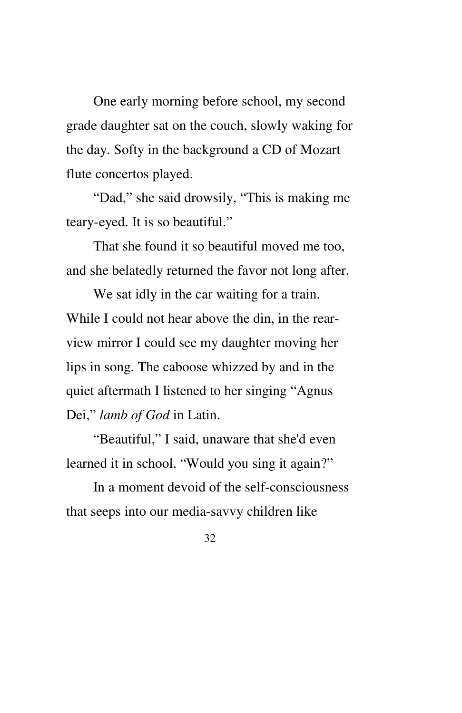One early morning before school, my second grade daughter sat on the couch, slowly waking for the day. Softy in the background a CD of Mozart flute concertos played.

"Dad," she said drowsily, "This is making me teary-eyed. It is so beautiful."

That she found it so beautiful moved me too, and she belatedly returned the favor not long after.

We sat idly in the car waiting for a train. While I could not hear above the din, in the rearview mirror I could see my daughter moving her lips in song. The caboose whizzed by and in the quiet aftermath I listened to her singing "Agnus Dei," *lamb of God* in Latin.

"Beautiful," I said, unaware that she'd even learned it in school. "Would you sing it again?"

In a moment devoid of the self-consciousness that seeps into our media-savvy children like

<sup>32</sup>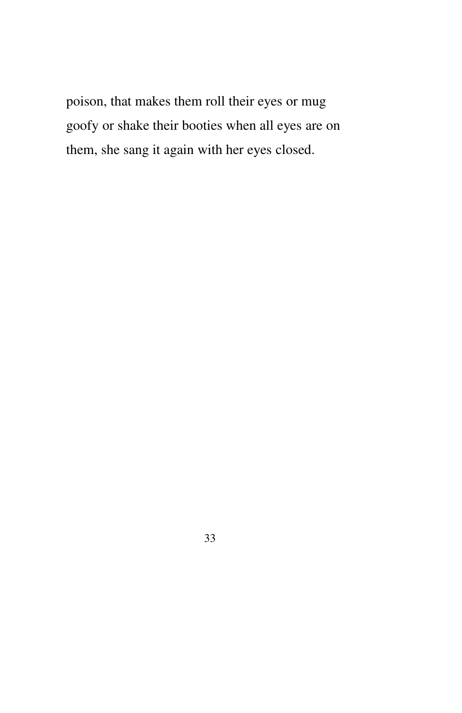poison, that makes them roll their eyes or mug goofy or shake their booties when all eyes are on them, she sang it again with her eyes closed.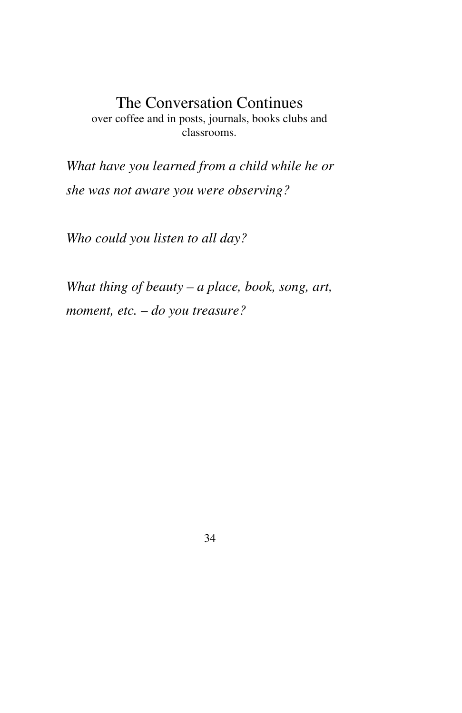#### The Conversation Continues over coffee and in posts, journals, books clubs and classrooms.

*What have you learned from a child while he or she was not aware you were observing?*

*Who could you listen to all day?*

*What thing of beauty – a place, book, song, art, moment, etc. – do you treasure?*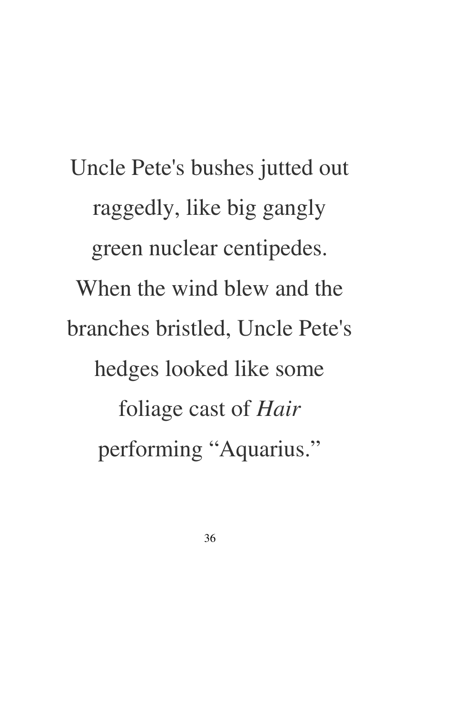Uncle Pete's bushes jutted out raggedly, like big gangly green nuclear centipedes. When the wind blew and the branches bristled, Uncle Pete's hedges looked like some foliage cast of *Hair*  performing "Aquarius."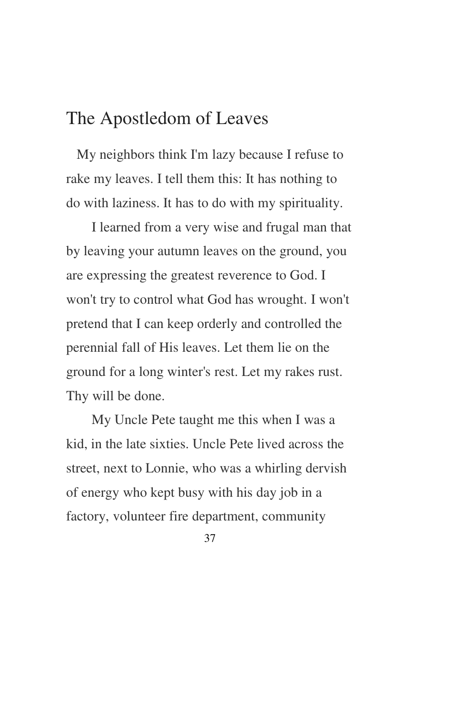#### The Apostledom of Leaves

 My neighbors think I'm lazy because I refuse to rake my leaves. I tell them this: It has nothing to do with laziness. It has to do with my spirituality.

I learned from a very wise and frugal man that by leaving your autumn leaves on the ground, you are expressing the greatest reverence to God. I won't try to control what God has wrought. I won't pretend that I can keep orderly and controlled the perennial fall of His leaves. Let them lie on the ground for a long winter's rest. Let my rakes rust. Thy will be done.

My Uncle Pete taught me this when I was a kid, in the late sixties. Uncle Pete lived across the street, next to Lonnie, who was a whirling dervish of energy who kept busy with his day job in a factory, volunteer fire department, community

<sup>37</sup>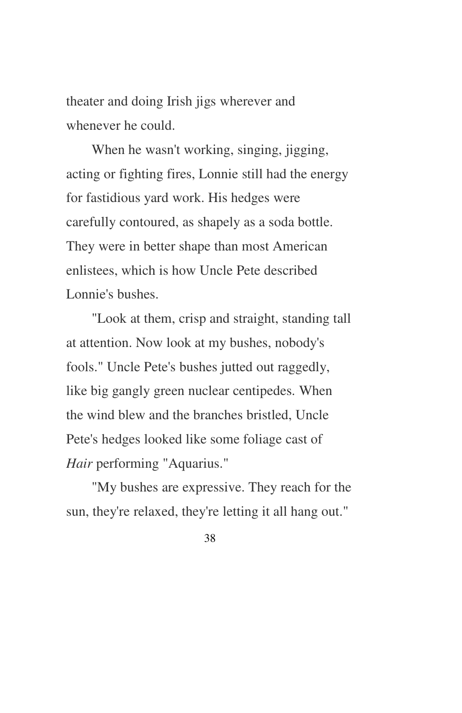theater and doing Irish jigs wherever and whenever he could.

When he wasn't working, singing, jigging, acting or fighting fires, Lonnie still had the energy for fastidious yard work. His hedges were carefully contoured, as shapely as a soda bottle. They were in better shape than most American enlistees, which is how Uncle Pete described Lonnie's bushes.

"Look at them, crisp and straight, standing tall at attention. Now look at my bushes, nobody's fools." Uncle Pete's bushes jutted out raggedly, like big gangly green nuclear centipedes. When the wind blew and the branches bristled, Uncle Pete's hedges looked like some foliage cast of *Hair* performing "Aquarius."

"My bushes are expressive. They reach for the sun, they're relaxed, they're letting it all hang out."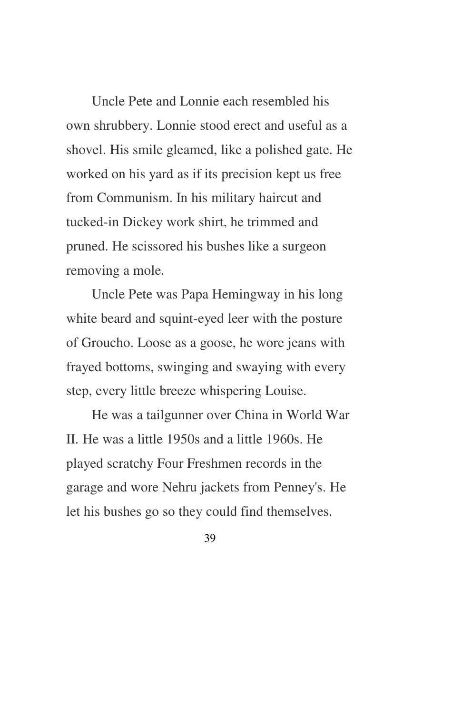Uncle Pete and Lonnie each resembled his own shrubbery. Lonnie stood erect and useful as a shovel. His smile gleamed, like a polished gate. He worked on his yard as if its precision kept us free from Communism. In his military haircut and tucked-in Dickey work shirt, he trimmed and pruned. He scissored his bushes like a surgeon removing a mole.

Uncle Pete was Papa Hemingway in his long white beard and squint-eyed leer with the posture of Groucho. Loose as a goose, he wore jeans with frayed bottoms, swinging and swaying with every step, every little breeze whispering Louise.

He was a tailgunner over China in World War II. He was a little 1950s and a little 1960s. He played scratchy Four Freshmen records in the garage and wore Nehru jackets from Penney's. He let his bushes go so they could find themselves.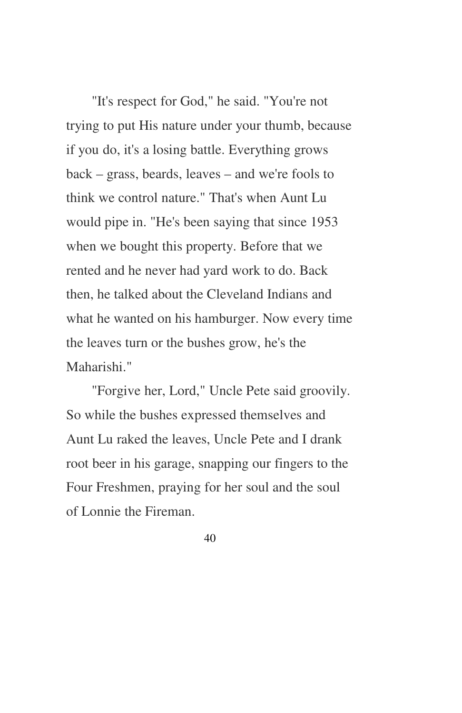"It's respect for God," he said. "You're not trying to put His nature under your thumb, because if you do, it's a losing battle. Everything grows back – grass, beards, leaves – and we're fools to think we control nature." That's when Aunt Lu would pipe in. "He's been saying that since 1953 when we bought this property. Before that we rented and he never had yard work to do. Back then, he talked about the Cleveland Indians and what he wanted on his hamburger. Now every time the leaves turn or the bushes grow, he's the Maharishi."

"Forgive her, Lord," Uncle Pete said groovily. So while the bushes expressed themselves and Aunt Lu raked the leaves, Uncle Pete and I drank root beer in his garage, snapping our fingers to the Four Freshmen, praying for her soul and the soul of Lonnie the Fireman.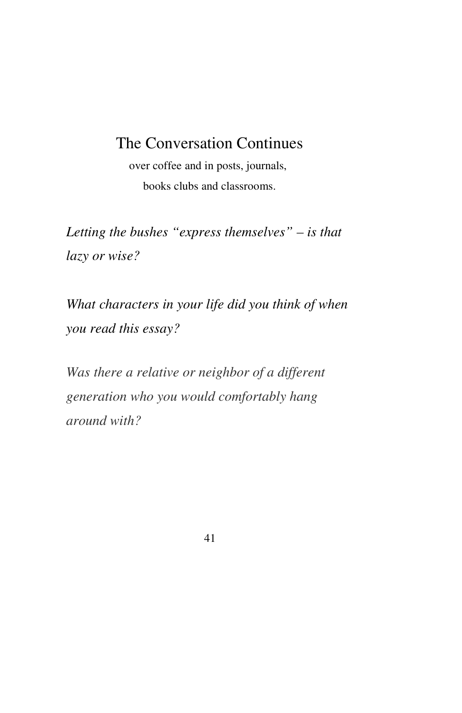#### The Conversation Continues

over coffee and in posts, journals, books clubs and classrooms.

*Letting the bushes "express themselves" – is that lazy or wise?*

*What characters in your life did you think of when you read this essay?*

*Was there a relative or neighbor of a different generation who you would comfortably hang around with?*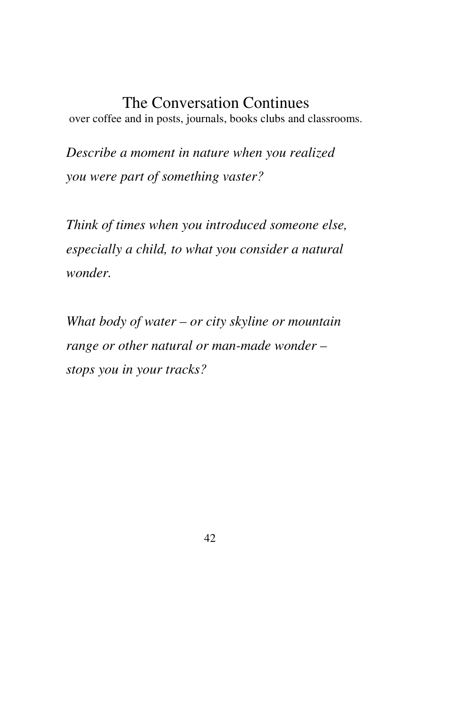#### The Conversation Continues

over coffee and in posts, journals, books clubs and classrooms.

*Describe a moment in nature when you realized you were part of something vaster?*

*Think of times when you introduced someone else, especially a child, to what you consider a natural wonder.*

*What body of water – or city skyline or mountain range or other natural or man-made wonder – stops you in your tracks?*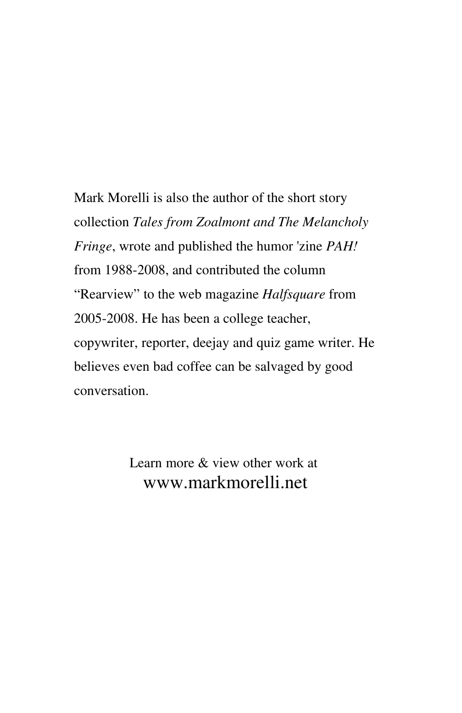Mark Morelli is also the author of the short story collection *Tales from Zoalmont and The Melancholy Fringe*, wrote and published the humor 'zine *PAH!*  from 1988-2008, and contributed the column "Rearview" to the web magazine *Halfsquare* from 2005-2008. He has been a college teacher, copywriter, reporter, deejay and quiz game writer. He believes even bad coffee can be salvaged by good conversation.

> Learn more & view other work at www.markmorelli.net